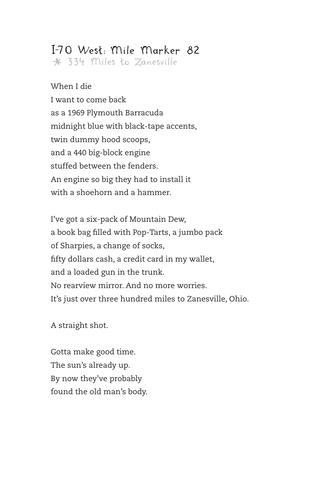\* 334 Miles to Zanesville

When I die I want to come back as a 1969 Plymouth Barracuda midnight blue with black-tape accents, twin dummy hood scoops, and a 440 big-block engine stuffed between the fenders. An engine so big they had to install it with a shoehorn and a hammer.

I've got a six-pack of Mountain Dew, a book bag filled with Pop-Tarts, a jumbo pack of Sharpies, a change of socks, fifty dollars cash, a credit card in my wallet, and a loaded gun in the trunk. No rearview mirror. And no more worries. It's just over three hundred miles to Zanesville, Ohio.

A straight shot.

Gotta make good time. The sun's already up. By now they've probably found the old man's body.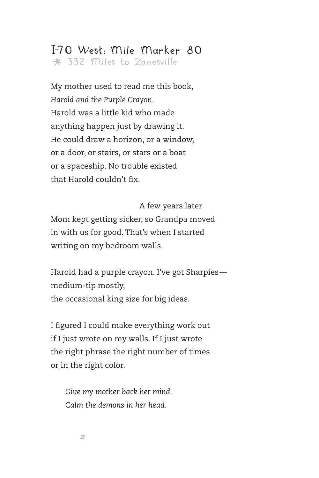#### I-70 West: Mile Marker 80 \* 332 Miles to Zanesville

My mother used to read me this book, *Harold and the Purple Crayon.* Harold was a little kid who made anything happen just by drawing it. He could draw a horizon, or a window, or a door, or stairs, or stars or a boat or a spaceship. No trouble existed that Harold couldn't fix.

A few years later Mom kept getting sicker, so Grandpa moved in with us for good. That's when I started writing on my bedroom walls.

Harold had a purple crayon. I've got Sharpies medium-tip mostly, the occasional king size for big ideas.

I figured I could make everything work out if I just wrote on my walls. If I just wrote the right phrase the right number of times or in the right color.

*Give my mother back her mind. Calm the demons in her head.*

*2*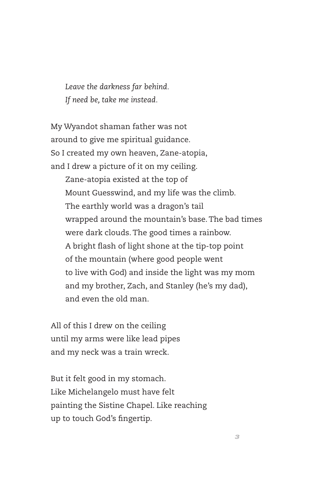*Leave the darkness far behind. If need be, take me instead.*

My Wyandot shaman father was not around to give me spiritual guidance. So I created my own heaven, Zane-atopia, and I drew a picture of it on my ceiling. Zane-atopia existed at the top of Mount Guesswind, and my life was the climb. The earthly world was a dragon's tail wrapped around the mountain's base. The bad times were dark clouds. The good times a rainbow. A bright flash of light shone at the tip-top point of the mountain (where good people went to live with God) and inside the light was my mom and my brother, Zach, and Stanley (he's my dad), and even the old man.

All of this I drew on the ceiling until my arms were like lead pipes and my neck was a train wreck.

But it felt good in my stomach. Like Michelangelo must have felt painting the Sistine Chapel. Like reaching up to touch God's fingertip.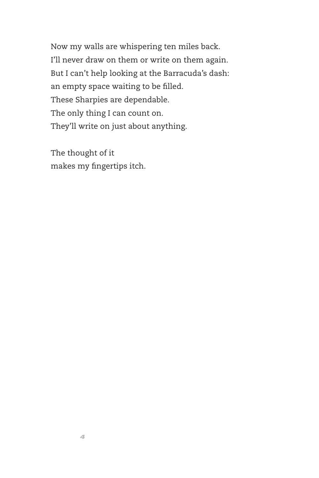Now my walls are whispering ten miles back. I'll never draw on them or write on them again. But I can't help looking at the Barracuda's dash: an empty space waiting to be filled. These Sharpies are dependable. The only thing I can count on. They'll write on just about anything.

The thought of it makes my fingertips itch.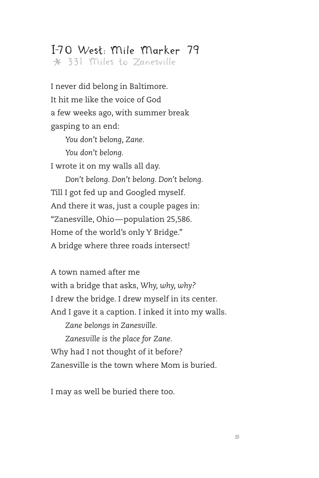\* 331 Miles to Zanesville

I never did belong in Baltimore. It hit me like the voice of God a few weeks ago, with summer break gasping to an end:

> *You don't belong, Zane. You don't belong.*

I wrote it on my walls all day.

*Don't belong. Don't belong. Don't belong.* Till I got fed up and Googled myself. And there it was, just a couple pages in: "Zanesville, Ohio—population 25,586. Home of the world's only Y Bridge." A bridge where three roads intersect!

A town named after me with a bridge that asks, *Why, why, why?* I drew the bridge. I drew myself in its center. And I gave it a caption. I inked it into my walls. *Zane belongs in Zanesville. Zanesville is the place for Zane.* Why had I not thought of it before? Zanesville is the town where Mom is buried.

I may as well be buried there too.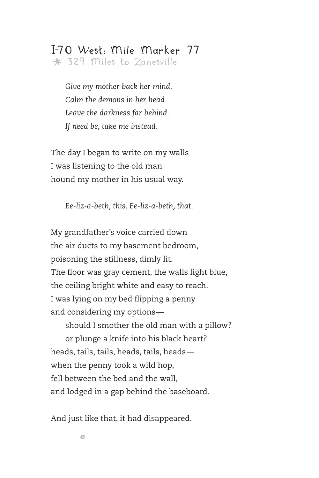\* 329 Miles to Zanesville

*Give my mother back her mind. Calm the demons in her head. Leave the darkness far behind. If need be, take me instead.*

The day I began to write on my walls I was listening to the old man hound my mother in his usual way.

*Ee-liz-a-beth, this. Ee-liz-a-beth, that.*

My grandfather's voice carried down the air ducts to my basement bedroom, poisoning the stillness, dimly lit. The floor was gray cement, the walls light blue, the ceiling bright white and easy to reach. I was lying on my bed flipping a penny and considering my options—

should I smother the old man with a pillow? or plunge a knife into his black heart? heads, tails, tails, heads, tails, heads when the penny took a wild hop, fell between the bed and the wall, and lodged in a gap behind the baseboard.

And just like that, it had disappeared.

*6*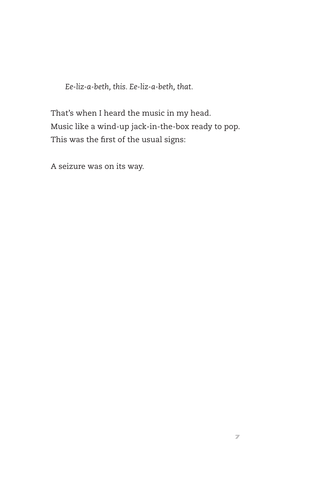*Ee-liz-a-beth, this. Ee-liz-a-beth, that.*

That's when I heard the music in my head. Music like a wind-up jack-in-the-box ready to pop. This was the first of the usual signs:

A seizure was on its way.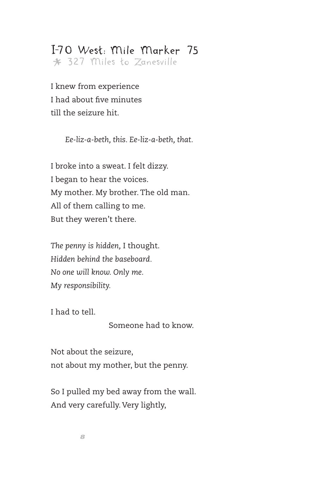\* 327 Miles to Zanesville

I knew from experience I had about five minutes till the seizure hit.

*Ee-liz-a-beth, this. Ee-liz-a-beth, that.*

I broke into a sweat. I felt dizzy. I began to hear the voices. My mother. My brother. The old man. All of them calling to me. But they weren't there.

*The penny is hidden,* I thought. *Hidden behind the baseboard. No one will know. Only me. My responsibility.*

I had to tell.

Someone had to know.

Not about the seizure, not about my mother, but the penny.

So I pulled my bed away from the wall. And very carefully. Very lightly,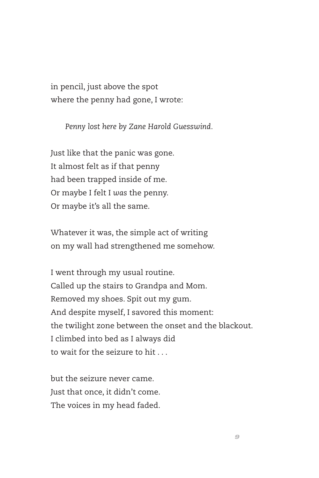in pencil, just above the spot where the penny had gone, I wrote:

*Penny lost here by Zane Harold Guesswind.*

Just like that the panic was gone. It almost felt as if that penny had been trapped inside of me. Or maybe I felt I *was* the penny. Or maybe it's all the same.

Whatever it was, the simple act of writing on my wall had strengthened me somehow.

I went through my usual routine. Called up the stairs to Grandpa and Mom. Removed my shoes. Spit out my gum. And despite myself, I savored this moment: the twilight zone between the onset and the blackout. I climbed into bed as I always did to wait for the seizure to hit . . .

but the seizure never came. Just that once, it didn't come. The voices in my head faded.